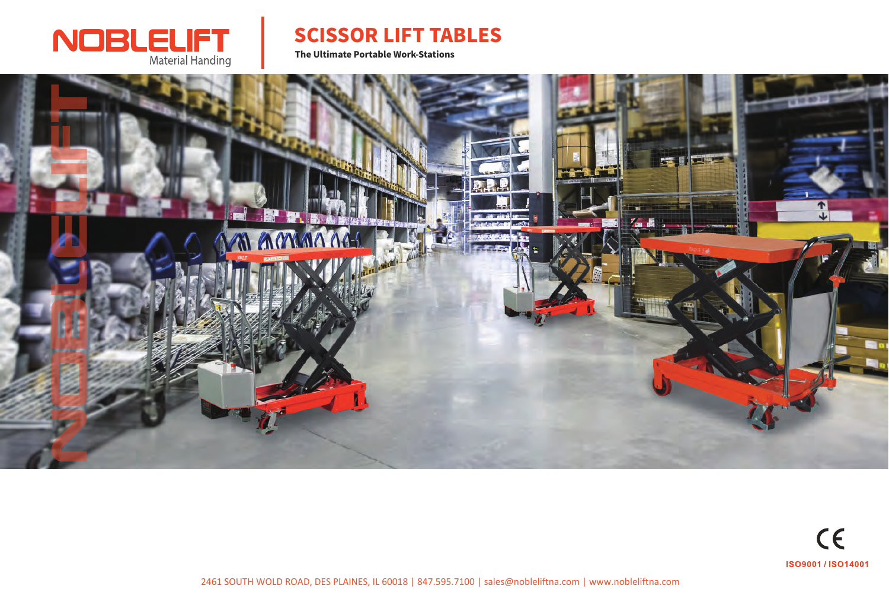

## SCISSOR LIFT TABLES

The Ultimate Portable Work-Stations



2461 SOUTH WOLD ROAD, DES PLAINES, IL 60018 | 847.595.7100 | sales@nobleliftna.com | www.nobleliftna.com

# $C<sub>f</sub>$ ISO9001 / ISO14001